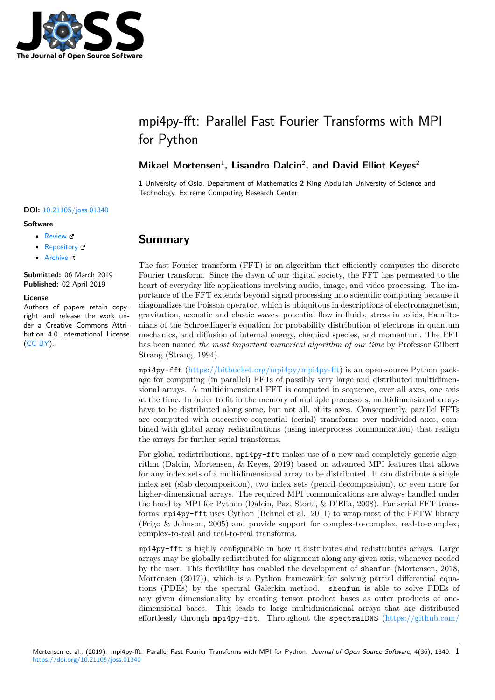

# mpi4py-fft: Parallel Fast Fourier Transforms with MPI for Python

### Mikael Mortensen<sup>1</sup>, Lisandro Dalcin<sup>2</sup>, and David Elliot Keyes<sup>2</sup>

**1** University of Oslo, Department of Mathematics **2** King Abdullah University of Science and Technology, Extreme Computing Research Center

#### **DOI:** 10.21105/joss.01340

#### **Software**

- Review C
- [Repository](https://doi.org/10.21105/joss.01340) &
- Archive

**Subm[itted:](https://github.com/openjournals/joss-reviews/issues/1340)** 06 March 2019 **Published:** [02 Ap](https://bitbucket.org/mpi4py/mpi4py-fft)ril 2019

#### **Licen[se](https://doi.org/10.5281/zenodo.2621442)**

Authors of papers retain copyright and release the work under a Creative Commons Attribution 4.0 International License (CC-BY).

### **Summary**

The fast Fourier transform (FFT) is an algorithm that efficiently computes the discrete Fourier transform. Since the dawn of our digital society, the FFT has permeated to the heart of everyday life applications involving audio, image, and video processing. The importance of the FFT extends beyond signal processing into scientific computing because it diagonalizes the Poisson operator, which is ubiquitous in descriptions of electromagnetism, gravitation, acoustic and elastic waves, potential flow in fluids, stress in solids, Hamiltonians of the Schroedinger's equation for probability distribution of electrons in quantum mechanics, and diffusion of internal energy, chemical species, and momentum. The FFT has been named *the most important numerical algorithm of our time* by Professor Gilbert Strang (Strang, 1994).

mpi4py-fft (https://bitbucket.org/mpi4py/mpi4py-fft) is an open-source Python package for computing (in parallel) FFTs of possibly very large and distributed multidimensional arrays. A multidimensional FFT is computed in sequence, over all axes, one axis at the time. In order to fit in the memory of multiple processors, multidimensional arrays have to be di[stributed along some, but not all, of its ax](https://bitbucket.org/mpi4py/mpi4py-fft)es. Consequently, parallel FFTs are computed with successive sequential (serial) transforms over undivided axes, combined with global array redistributions (using interprocess communication) that realign the arrays for further serial transforms.

For global redistributions, mpi4py-fft makes use of a new and completely generic algorithm (Dalcin, Mortensen, & Keyes, 2019) based on advanced MPI features that allows for any index sets of a multidimensional array to be distributed. It can distribute a single index set (slab decomposition), two index sets (pencil decomposition), or even more for higher-dimensional arrays. The required MPI communications are always handled under the hood by MPI for Python (Dalcin, Paz, Storti, & D'Elia, 2008). For serial FFT transforms, mpi4py-fft uses Cython (Behnel et al., 2011) to wrap most of the FFTW library (Frigo & Johnson, 2005) and provide support for complex-to-complex, real-to-complex, complex-to-real and real-to-real transforms.

mpi4py-fft is highly configurable in how it distributes and redistributes arrays. Large arrays may be globally redistributed for alignment along any given axis, whenever needed by the user. This flexibility has enabled the development of shenfun (Mortensen, 2018, Mortensen (2017)), which is a Python framework for solving partial differential equations (PDEs) by the spectral Galerkin method. shenfun is able to solve PDEs of any given dimensionality by creating tensor product bases as outer products of onedimensional bases. This leads to large multidimensional arrays that are distributed effortlessly through mpi4py-fft. Throughout the spectralDNS (https://github.com/